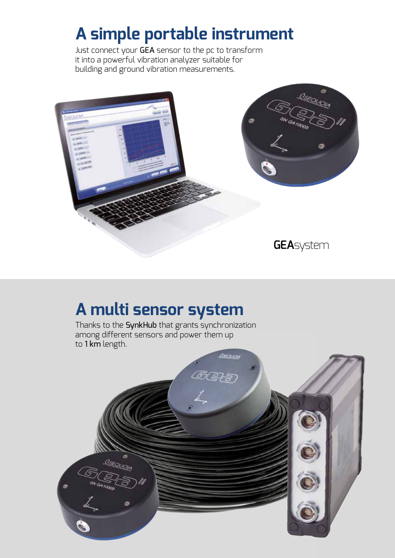# **GEA**system

THE SOLUTION FOR VIBRATION MEASUREMENT AND MONITORING IN CIVIL ENGINEERING

Carca

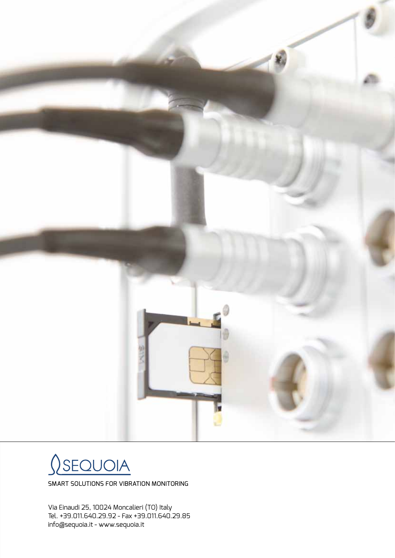## LARGE STRUCTURAL HEALTH MONITORING **SOLUTION**

### **HERITAGE** BUILDING **PROTECTION**

## TRAFFIC **INDU**  $VIBF$

## TUNNEL CONSTRUCTION **MONITORING**

# **CONSTRUCTION** SITE MONITORING



#### **GEA**system

is an extremely flexible and complete system that can be used to cover a wide variety of vibration measurements and monitoring needs within the civil environment.



**FLEXIBLE** AND MODULAR SOLUTION

The concept of digital distributed sensor brings several advantages in terms of system scalability and technical features such as the possibility of using extremely long connection cables, and the noise free data transmission.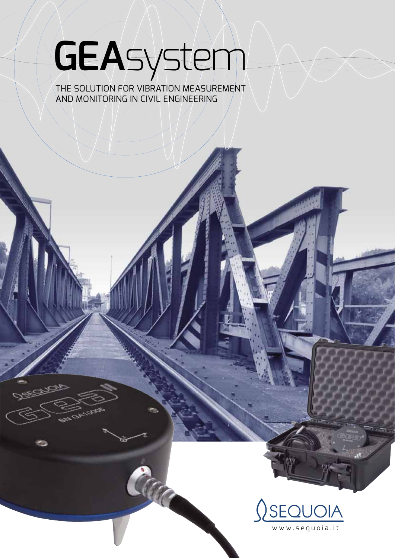# **A simple portable instrument**

Just connect your GEA sensor to the pc to transform it into a powerful vibration analyzer suitable for building and ground vibration measurements.



# **A multi sensor system**

Thanks to the SynkHub that grants synchronization among different sensors and power them up to 1 km length.

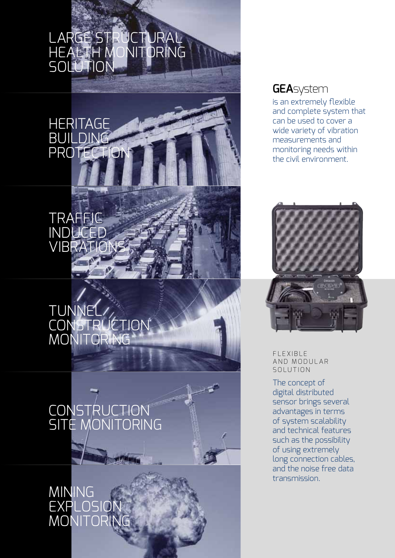## **GEA**sensor I



#### **APPLICATION AREA**

- Construction site monitoring
- Mining and explosive monitoring
- Tunnel construction monitoring
- Seismic applications with CLASS C requirements

#### **SENSOR**

| <b>TYPE</b>                   | <b>MEMS</b> |
|-------------------------------|-------------|
| <b>AXIS</b>                   | З           |
| <b>FULL RANGE</b>             | 10g         |
| NOISE DENSITY                 | 10 ug/hz-2  |
| <b>CROSS AXIS SENSITIVITY</b> | < 5%        |
| <b>SHOCK</b>                  | 5000 g      |
| <b>INTEGRATED DIGITIZER</b>   |             |
| <b>TYPF</b>                   | SIGMADEL TA |

| SIGMADELTA |
|------------|
| 16         |
| 100 dB     |
| $1024$ hz  |
|            |

#### **CONSTRUCTION**

| DIMENSIONS            | $\emptyset$ 110 X H 40 mm |
|-----------------------|---------------------------|
| <b>CONSTRUCTION</b>   | ANODIZED AL               |
| PROTECTION GRADE      | <b>IPG8</b>               |
| OPFRATING TEMPERATURE | $-10 \div 75$ °C          |
| <b>WFIGHT</b>         | 500 g                     |

Automatic self-levelling function included.

## **GEA**sensor II



#### **APPLICATION AREA**

- Construction site monitoring
- Human vibration exposure
- Modal testing and structural health monitoring - Seismic applications with CLASS B requirements

| <b>SENSOR</b>                 |                         |
|-------------------------------|-------------------------|
| <b>TYPF</b>                   | <b>HYBRID PIEZO-MEM</b> |
| <b>AXIS</b>                   | 3                       |
| <b>FULL RANGE</b>             | 8g                      |
| NOISE DENSITY                 | 1 ug/hz-2 @ 1 hz        |
| <b>CROSS AXIS SENSITIVITY</b> | < 5%                    |
| <b>SHOCK</b>                  | 3000 g                  |
|                               |                         |
| <b>INTEGRATED DIGITIZER</b>   |                         |
| <b>TYPF</b>                   | SIGMADELTA              |
| N° OF BITS                    | 24                      |
| <b>DYNAMIC RANGE</b>          | 120 dB                  |
| SAMPLING FREOUENCY            | 1024 hz                 |
|                               |                         |
| <b>CONSTRUCTION</b>           |                         |
| <b>DIMENSIONS</b>             | 0 110 X H 40 mm         |
| CONSTRUCTION                  | ANODIZED AL             |
| PROTECTION GRADE              | <b>IPG8</b>             |
| OPERATING TEMPERATURE         | $-10 \div 75$ °C        |

Automatic self-levelling function included.

WEIGHT 500 g





# **SynkHub**

| <b>SPECIFICATIONS</b> |                       |
|-----------------------|-----------------------|
| <b>POWER</b>          | MAIN / BATTERY (12 V) |
| DIMENSION:            | 110 X 170 X 30 mm     |
| MAX SYNCH, FRROR      | 5u5                   |
| CABLE LENGTH          | UP TO 1 Km            |

The **SynkHub** is supplied with required accessories for powering and parallel connection with other modules.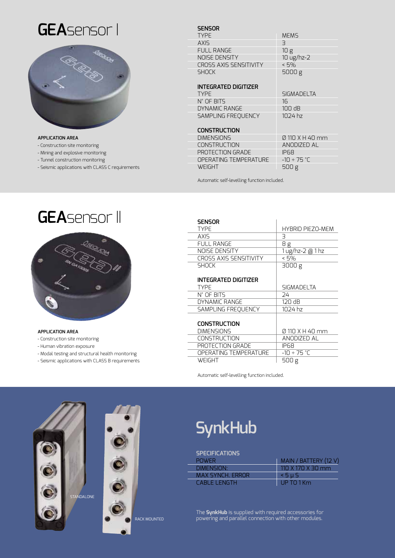

# **Monitoring box**

For permanent and/or semi-permanent installations we can provide ready to use system including industrial pc with Linux operating system, all accessories for remote communication and site protection, pre-installed software. The system is extremely robust and easy to carry on.



MONITORING BOX INCLUDES SYNKHUB FOR 4 SENSORS, INDUSTRIAL PC WITH INSTALLED SOFTWARE.

UPGRADABLE TO A 16 SENSORS SYSTEM.



 $\Omega$ SEQUOIA





In standard configuration up to **4 SynkHub** modules can be connected in parallel for a system up to 16 sensors.

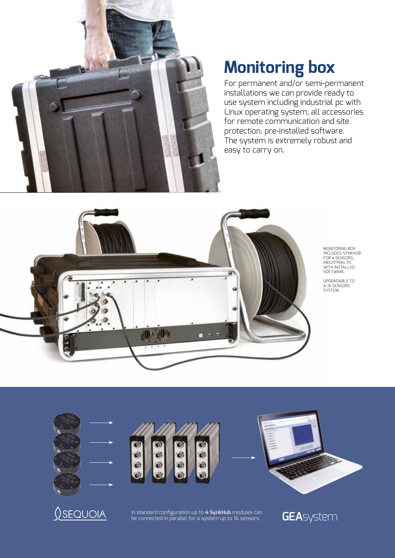

### **Permanent monitoring solutions**

The ideal cost-effective solution to deploy Dynamic Structural Health Systems on civil structures.

**GEA**system

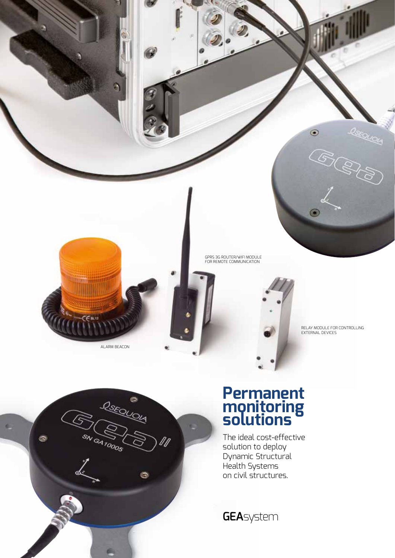# **Global Software Structure**



MONITORING OPTION - Long term monitoring and scheduling - E-mail notification

#### Single sensor

Licenses are written directly within the sensor firmware.



#### FREE

- Raw data recording

#### MEASUREMENT OPTION

- Structural damage IN CONFORMITY WITH SEVERAL RELEVANT STANDARDS, STARTING FROM DIN 4150-3 FOR P.P.V AND P.C.P.V CALCULATIONS
- Human confort

IN CONFORMITY WITH DIN 4150-2, ISO 2631





system

#### Multiple sensors

Once one of the above measurements or monitoring licenses are activated on one of the used sensors, NO EXTRA LICENSE is required but just an economical multi-sensors license for each sensor in your system.





## Reporting Software

For handling the acquired data, print simple reports, export data to .txt format, copy chart and other functionalities the GEA Report software is available for improving GEA System usability.